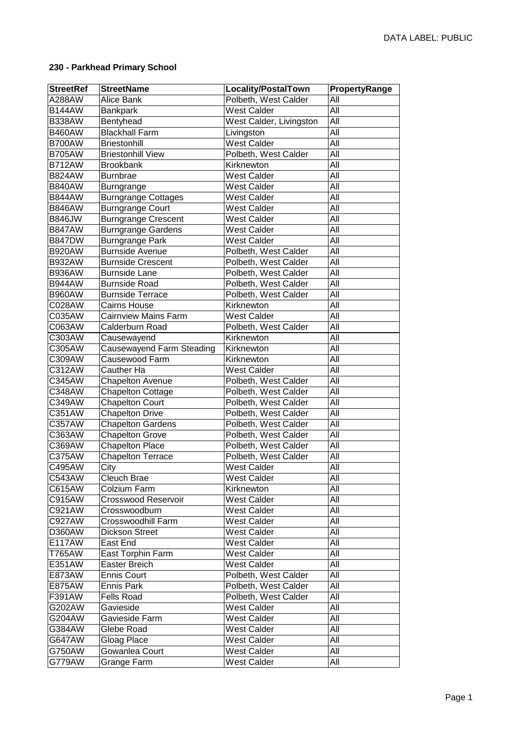## **230 - Parkhead Primary School**

| <b>StreetRef</b> | <b>StreetName</b>           | <b>Locality/PostalTown</b> | PropertyRange |
|------------------|-----------------------------|----------------------------|---------------|
| A288AW           | Alice Bank                  | Polbeth, West Calder       | All           |
| <b>B144AW</b>    | <b>Bankpark</b>             | <b>West Calder</b>         | All           |
| <b>B338AW</b>    | Bentyhead                   | West Calder, Livingston    | All           |
| <b>B460AW</b>    | <b>Blackhall Farm</b>       | Livingston                 | All           |
| <b>B700AW</b>    | <b>Briestonhill</b>         | <b>West Calder</b>         | All           |
| <b>B705AW</b>    | <b>Briestonhill View</b>    | Polbeth, West Calder       | All           |
| <b>B712AW</b>    | <b>Brookbank</b>            | Kirknewton                 | All           |
| <b>B824AW</b>    | <b>Burnbrae</b>             | <b>West Calder</b>         | All           |
| <b>B840AW</b>    | <b>Burngrange</b>           | <b>West Calder</b>         | All           |
| <b>B844AW</b>    | <b>Burngrange Cottages</b>  | <b>West Calder</b>         | All           |
| <b>B846AW</b>    | <b>Burngrange Court</b>     | <b>West Calder</b>         | All           |
| <b>B846JW</b>    | <b>Burngrange Crescent</b>  | <b>West Calder</b>         | All           |
| <b>B847AW</b>    | <b>Burngrange Gardens</b>   | <b>West Calder</b>         | All           |
| <b>B847DW</b>    | <b>Burngrange Park</b>      | <b>West Calder</b>         | All           |
| <b>B920AW</b>    | Burnside Avenue             | Polbeth, West Calder       | All           |
| <b>B932AW</b>    | <b>Burnside Crescent</b>    | Polbeth, West Calder       | All           |
| <b>B936AW</b>    | <b>Burnside Lane</b>        | Polbeth, West Calder       | All           |
| <b>B944AW</b>    | <b>Burnside Road</b>        | Polbeth, West Calder       | All           |
| <b>B960AW</b>    | <b>Burnside Terrace</b>     | Polbeth, West Calder       | All           |
| C028AW           | <b>Cairns House</b>         | Kirknewton                 | All           |
| C035AW           | <b>Cairnview Mains Farm</b> | <b>West Calder</b>         | All           |
| C063AW           | Calderburn Road             | Polbeth, West Calder       | All           |
| C303AW           | Causewayend                 | Kirknewton                 | All           |
| C305AW           | Causewayend Farm Steading   | Kirknewton                 | All           |
| C309AW           | Causewood Farm              | Kirknewton                 | All           |
| C312AW           | Cauther Ha                  | <b>West Calder</b>         | All           |
| C345AW           | <b>Chapelton Avenue</b>     | Polbeth, West Calder       | All           |
| C348AW           | <b>Chapelton Cottage</b>    | Polbeth, West Calder       | All           |
| C349AW           | <b>Chapelton Court</b>      | Polbeth, West Calder       | All           |
| C351AW           | <b>Chapelton Drive</b>      | Polbeth, West Calder       | All           |
| C357AW           | <b>Chapelton Gardens</b>    | Polbeth, West Calder       | All           |
| C363AW           | <b>Chapelton Grove</b>      | Polbeth, West Calder       | All           |
| C369AW           | <b>Chapelton Place</b>      | Polbeth, West Calder       | All           |
| C375AW           | <b>Chapelton Terrace</b>    | Polbeth, West Calder       | All           |
| C495AW           | City                        | West Calder                | All           |
| C543AW           | Cleuch Brae                 | <b>West Calder</b>         | All           |
| C615AW           | Colzium Farm                | Kirknewton                 | All           |
| C915AW           | Crosswood Reservoir         | <b>West Calder</b>         | All           |
| C921AW           | Crosswoodburn               | <b>West Calder</b>         | All           |
| C927AW           | Crosswoodhill Farm          | West Calder                | All           |
| D360AW           | <b>Dickson Street</b>       | <b>West Calder</b>         | All           |
| <b>E117AW</b>    | East End                    | <b>West Calder</b>         | All           |
| T765AW           | East Torphin Farm           | <b>West Calder</b>         | All           |
| E351AW           | Easter Breich               | <b>West Calder</b>         | All           |
| E873AW           | <b>Ennis Court</b>          | Polbeth, West Calder       | All           |
| E875AW           | Ennis Park                  | Polbeth, West Calder       | All           |
| F391AW           | <b>Fells Road</b>           | Polbeth, West Calder       | All           |
| G202AW           | Gavieside                   | <b>West Calder</b>         | All           |
| G204AW           | Gavieside Farm              | <b>West Calder</b>         | All           |
| G384AW           | Glebe Road                  | <b>West Calder</b>         | All           |
| G647AW           | Gloag Place                 | <b>West Calder</b>         | All           |
| G750AW           | Gowanlea Court              | <b>West Calder</b>         | All           |
| G779AW           | Grange Farm                 | West Calder                | All           |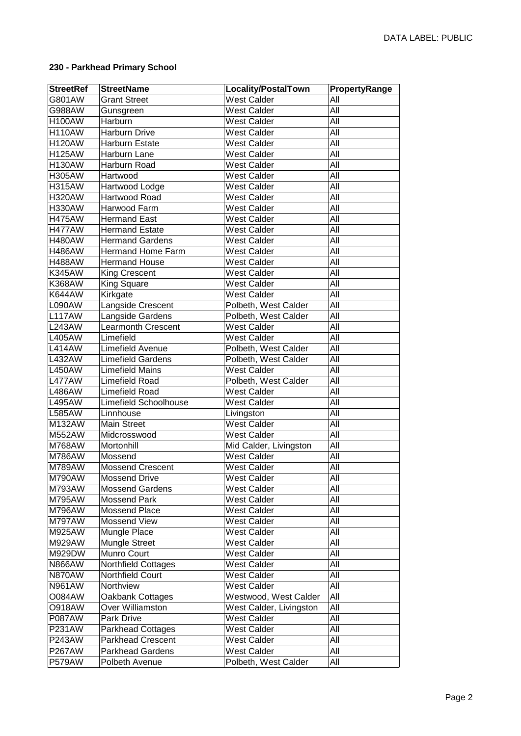## **230 - Parkhead Primary School**

| <b>StreetRef</b> | <b>StreetName</b>            | Locality/PostalTown     | PropertyRange |
|------------------|------------------------------|-------------------------|---------------|
| G801AW           | <b>Grant Street</b>          | <b>West Calder</b>      | All           |
| G988AW           | Gunsgreen                    | <b>West Calder</b>      | All           |
| <b>H100AW</b>    | Harburn                      | <b>West Calder</b>      | All           |
| <b>H110AW</b>    | Harburn Drive                | <b>West Calder</b>      | All           |
| <b>H120AW</b>    | Harburn Estate               | <b>West Calder</b>      | All           |
| <b>H125AW</b>    | Harburn Lane                 | <b>West Calder</b>      | All           |
| <b>H130AW</b>    | Harburn Road                 | <b>West Calder</b>      | All           |
| <b>H305AW</b>    | Hartwood                     | <b>West Calder</b>      | All           |
| <b>H315AW</b>    | Hartwood Lodge               | <b>West Calder</b>      | All           |
| <b>H320AW</b>    | Hartwood Road                | <b>West Calder</b>      | All           |
| <b>H330AW</b>    | Harwood Farm                 | <b>West Calder</b>      | All           |
| <b>H475AW</b>    | <b>Hermand East</b>          | <b>West Calder</b>      | All           |
| <b>H477AW</b>    | <b>Hermand Estate</b>        | <b>West Calder</b>      | All           |
| <b>H480AW</b>    | <b>Hermand Gardens</b>       | <b>West Calder</b>      | All           |
| <b>H486AW</b>    | <b>Hermand Home Farm</b>     | <b>West Calder</b>      | All           |
| <b>H488AW</b>    | <b>Hermand House</b>         | <b>West Calder</b>      | All           |
| <b>K345AW</b>    | <b>King Crescent</b>         | <b>West Calder</b>      | All           |
| <b>K368AW</b>    | <b>King Square</b>           | <b>West Calder</b>      | All           |
| <b>K644AW</b>    | Kirkgate                     | <b>West Calder</b>      | All           |
| L090AW           | Langside Crescent            | Polbeth, West Calder    | All           |
| <b>L117AW</b>    | Langside Gardens             | Polbeth, West Calder    | All           |
| <b>L243AW</b>    | <b>Learmonth Crescent</b>    | <b>West Calder</b>      | All           |
| <b>L405AW</b>    | Limefield                    | <b>West Calder</b>      | All           |
| <b>L414AW</b>    | Limefield Avenue             | Polbeth, West Calder    | All           |
| <b>L432AW</b>    | <b>Limefield Gardens</b>     | Polbeth, West Calder    | All           |
| <b>L450AW</b>    | <b>Limefield Mains</b>       | <b>West Calder</b>      | All           |
| <b>L477AW</b>    | Limefield Road               | Polbeth, West Calder    | All           |
| <b>L486AW</b>    | Limefield Road               | <b>West Calder</b>      | All           |
| <b>L495AW</b>    | <b>Limefield Schoolhouse</b> | <b>West Calder</b>      | All           |
| <b>L585AW</b>    | Linnhouse                    | Livingston              | All           |
| M132AW           | <b>Main Street</b>           | <b>West Calder</b>      | All           |
| <b>M552AW</b>    | Midcrosswood                 | <b>West Calder</b>      | All           |
| <b>M768AW</b>    | Mortonhill                   | Mid Calder, Livingston  | All           |
| M786AW           | Mossend                      | <b>West Calder</b>      | All           |
| M789AW           | <b>Mossend Crescent</b>      | <b>West Calder</b>      | All           |
| M790AW           | <b>Mossend Drive</b>         | <b>West Calder</b>      | All           |
| M793AW           | <b>Mossend Gardens</b>       | <b>West Calder</b>      | All           |
| M795AW           | <b>Mossend Park</b>          | West Calder             | All           |
| M796AW           | Mossend Place                | West Calder             | All           |
| M797AW           | Mossend View                 | <b>West Calder</b>      | All           |
| M925AW           | Mungle Place                 | <b>West Calder</b>      | All           |
| M929AW           | <b>Mungle Street</b>         | <b>West Calder</b>      | All           |
| M929DW           | Munro Court                  | <b>West Calder</b>      | All           |
| <b>N866AW</b>    | Northfield Cottages          | <b>West Calder</b>      | All           |
| <b>N870AW</b>    | Northfield Court             | <b>West Calder</b>      | All           |
| <b>N961AW</b>    | Northview                    | <b>West Calder</b>      | All           |
| <b>O084AW</b>    | Oakbank Cottages             | Westwood, West Calder   | All           |
| <b>O918AW</b>    | Over Williamston             | West Calder, Livingston | All           |
| <b>P087AW</b>    | Park Drive                   | <b>West Calder</b>      | All           |
| P231AW           | <b>Parkhead Cottages</b>     | <b>West Calder</b>      | All           |
| <b>P243AW</b>    | <b>Parkhead Crescent</b>     | <b>West Calder</b>      | All           |
| <b>P267AW</b>    | <b>Parkhead Gardens</b>      | <b>West Calder</b>      | All           |
| <b>P579AW</b>    | Polbeth Avenue               | Polbeth, West Calder    | All           |